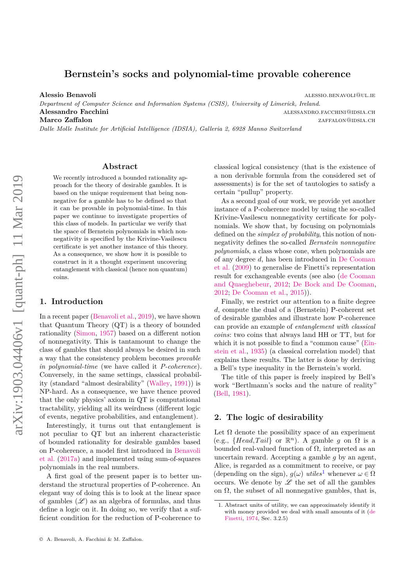# <span id="page-0-0"></span>**Bernstein's socks and polynomial-time provable coherence**

**Alessio Benavoli** alessio.benavoli@ul.ie

*Department of Computer Science and Information Systems (CSIS), University of Limerick, Ireland.* **Alessandro Facchini** alessandro.facchini alessandro.facchini **Marco Zaffalon** zaffalon zaffalon zaffalon zaffalon zaffalon zaffalon zaffalon zaffalon zaffalon zaffalon za f

*Dalle Molle Institute for Artificial Intelligence (IDSIA), Galleria 2, 6928 Manno Switzerland*

## **Abstract**

We recently introduced a bounded rationality approach for the theory of desirable gambles. It is based on the unique requirement that being nonnegative for a gamble has to be defined so that it can be provable in polynomial-time. In this paper we continue to investigate properties of this class of models. In particular we verify that the space of Bernstein polynomials in which nonnegativity is specified by the Krivine-Vasilescu certificate is yet another instance of this theory. As a consequence, we show how it is possible to construct in it a thought experiment uncovering entanglement with classical (hence non quantum) coins.

## **1. Introduction**

In a recent paper [\(Benavoli et al.,](#page-7-0) [2019\)](#page-7-0), we have shown that Quantum Theory (QT) is a theory of bounded rationality [\(Simon,](#page-8-0) [1957\)](#page-8-0) based on a different notion of nonnegativity. This is tantamount to change the class of gambles that should always be desired in such a way that the consistency problem becomes *provable in polynomial-time* (we have called it *P-coherence*). Conversely, in the same settings, classical probability (standard "almost desirability" [\(Walley,](#page-8-1) [1991\)](#page-8-1)) is NP-hard. As a consequence, we have thence proved that the only physics' axiom in QT is computational tractability, yielding all its weirdness (different logic of events, negative probabilities, and entanglement).

Interestingly, it turns out that entanglement is not peculiar to QT but an inherent characteristic of bounded rationality for desirable gambles based on P-coherence, a model first introduced in [Benavoli](#page-7-1) [et al.](#page-7-1) [\(2017a\)](#page-7-1) and implemented using sum-of-squares polynomials in the real numbers.

A first goal of the present paper is to better understand the structural properties of P-coherence. An elegant way of doing this is to look at the linear space of gambles  $(\mathscr{L})$  as an algebra of formulas, and thus define a logic on it. In doing so, we verify that a sufficient condition for the reduction of P-coherence to classical logical consistency (that is the existence of a non derivable formula from the considered set of assessments) is for the set of tautologies to satisfy a certain "pullup" property.

As a second goal of our work, we provide yet another instance of a P-coherence model by using the so-called Krivine-Vasilescu nonnegativity certificate for polynomials. We show that, by focusing on polynomials defined on the *simplex of probability*, this notion of nonnegativity defines the so-called *Bernstein nonnegative polynomials*, a class whose cone, when polynomials are of any degree *d*, has been introduced in [De Cooman](#page-7-2) [et al.](#page-7-2) [\(2009\)](#page-7-2) to generalise de Finetti's representation result for exchangeable events (see also [\(de Cooman](#page-7-3) [and Quaeghebeur,](#page-7-3) [2012;](#page-7-3) [De Bock and De Cooman,](#page-7-4) [2012;](#page-7-4) [De Cooman et al.,](#page-7-5) [2015\)](#page-7-5)).

Finally, we restrict our attention to a finite degree *d*, compute the dual of a (Bernstein) P-coherent set of desirable gambles and illustrate how P-coherence can provide an example of *entanglement with classical coins*: two coins that always land HH or TT, but for which it is not possible to find a "common cause" [\(Ein](#page-8-2)[stein et al.,](#page-8-2) [1935\)](#page-8-2) (a classical correlation model) that explains these results. The latter is done by deriving a Bell's type inequality in the Bernstein's world.

The title of this paper is freely inspired by Bell's work "Bertlmann's socks and the nature of reality" [\(Bell,](#page-7-6) [1981\)](#page-7-6).

### <span id="page-0-1"></span>**2. The logic of desirability**

Let  $\Omega$  denote the possibility space of an experiment (e.g.,  ${Head, Tail}$  or  $\mathbb{R}^n$ ). A gamble *g* on  $\Omega$  is a bounded real-valued function of  $Ω$ , interpreted as an uncertain reward. Accepting a gamble *g* by an agent, Alice, is regarded as a commitment to receive, or pay (depending on the sign),  $g(\omega)$  *utiles*<sup>1</sup> whenever  $\omega \in \Omega$ occurs. We denote by  $\mathscr L$  the set of all the gambles on  $\Omega$ , the subset of all nonnegative gambles, that is,

<sup>1.</sup> Abstract units of utility, we can approximately identify it with money provided we deal with small amounts of it [\(de](#page-8-3) [Finetti,](#page-8-3) [1974,](#page-8-3) Sec. 3.2.5)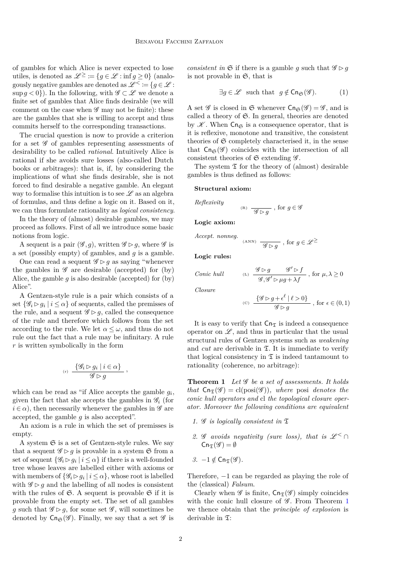of gambles for which Alice is never expected to lose utiles, is denoted as  $\mathscr{L}^{\geq} := \{q \in \mathscr{L} : \inf q > 0\}$  (analogously negative gambles are denoted as  $\mathscr{L}^{\leq} := \{ g \in \mathscr{L} :$ sup  $q < 0$ ). In the following, with  $\mathscr{G} \subset \mathscr{L}$  we denote a finite set of gambles that Alice finds desirable (we will comment on the case when  $\mathscr G$  may not be finite): these are the gambles that she is willing to accept and thus commits herself to the corresponding transactions.

The crucial question is now to provide a criterion for a set  $\mathscr G$  of gambles representing assessments of desirability to be called *rational*. Intuitively Alice is rational if she avoids sure losses (also-called Dutch books or arbitrages): that is, if, by considering the implications of what she finds desirable, she is not forced to find desirable a negative gamble. An elegant way to formalise this intuition is to see  $\mathscr L$  as an algebra of formulas, and thus define a logic on it. Based on it, we can thus formulate rationality as *logical consistency*.

In the theory of (almost) desirable gambles, we may proceed as follows. First of all we introduce some basic notions from logic.

A sequent is a pair  $(\mathscr{G}, g)$ , written  $\mathscr{G} \triangleright g$ , where  $\mathscr{G}$  is a set (possibly empty) of gambles, and *g* is a gamble.

One can read a sequent  $\mathscr{G} \triangleright g$  as saying "whenever" the gambles in  $\mathscr G$  are desirable (accepted) for (by) Alice, the gamble  $q$  is also desirable (accepted) for  $(by)$ Alice".

A Gentzen-style rule is a pair which consists of a set  $\{\mathscr{G}_i \triangleright g_i \mid i \leq \alpha\}$  of sequents, called the premisses of the rule, and a sequent  $\mathscr{G} \triangleright g$ , called the consequence of the rule and therefore which follows from the set according to the rule. We let  $\alpha \leq \omega$ , and thus do not rule out the fact that a rule may be infinitary. A rule *r* is written symbolically in the form

$$
^{\text{\tiny{(r)}}}\ \frac{\{\mathscr{G}_i\mathop{\rhd} g_i\mid i\in\alpha\}}{\mathscr{G}\mathop{\rhd} g}\ ,
$$

which can be read as "if Alice accepts the gamble  $g_i$ , given the fact that she accepts the gambles in  $\mathscr{G}_i$  (for  $i \in \alpha$ , then necessarily whenever the gambles in  $\mathscr G$  are accepted, the gamble *g* is also accepted".

An axiom is a rule in which the set of premisses is empty.

A system  $\mathfrak S$  is a set of Gentzen-style rules. We say that a sequent  $\mathscr{G} \triangleright g$  is provable in a system  $\mathfrak{S}$  from a set of sequent  $\{\mathscr{G}_i \triangleright g_i \mid i \leq \alpha\}$  if there is a well-founded tree whose leaves are labelled either with axioms or with members of  $\{\mathscr{G}_i \rhd g_i \mid i \leq \alpha\}$ , whose root is labelled with  $\mathscr{G} \triangleright q$  and the labelling of all nodes is consistent with the rules of  $\mathfrak{S}$ . A sequent is provable  $\mathfrak{S}$  if it is provable from the empty set. The set of all gambles *g* such that  $\mathscr{G} \triangleright g$ , for some set  $\mathscr{G}$ , will sometimes be denoted by  $\mathsf{Cn}_{\mathfrak{S}}(\mathscr{G})$ . Finally, we say that a set  $\mathscr{G}$  is *consistent in*  $\mathfrak{S}$  if there is a gamble *q* such that  $\mathscr{G} \triangleright q$ is not provable in  $\mathfrak{S}$ , that is

<span id="page-1-1"></span>
$$
\exists g \in \mathcal{L} \text{ such that } g \notin \text{Cn}_{\mathfrak{S}}(\mathcal{G}).\tag{1}
$$

A set  $\mathscr G$  is closed in  $\mathfrak S$  whenever  $\mathsf{Cn}_{\mathfrak S}(\mathscr G) = \mathscr G$ , and is called a theory of  $\mathfrak{S}$ . In general, theories are denoted by  $K$ . When  $\mathsf{Cn}_{\mathfrak{S}}$  is a consequence operator, that is it is reflexive, monotone and transitive, the consistent theories of  $\mathfrak S$  completely characterised it, in the sense that  $\mathsf{Cn}_{\mathfrak{S}}(\mathscr{G})$  coincides with the intersection of all consistent theories of  $\mathfrak S$  extending  $\mathscr G$ .

The system  $\mathfrak T$  for the theory of (almost) desirable gambles is thus defined as follows:

#### **Structural axiom:**

*Reflexivity*

$$
^{\text{\tiny(R)}}\ \frac{}{\mathscr{G} \rhd g} \ , \ \text{for} \ g \in \mathscr{G}
$$

**Logic axiom:**

*Accept. nonneg.* (ANN)  $\overline{\mathscr{G} \rhd g}$ , for  $g \in \mathscr{L}^{\geq}$ 

**Logic rules:**

$$
\text{Conic hull} \qquad \qquad \text{ (L)} \quad \frac{\mathscr{G} \rhd g}{\mathscr{G}, \mathscr{G}' \rhd \mu g + \lambda f} \; \text{, for } \mu, \lambda \geq 0
$$

*Closure*

(c) 
$$
\frac{\{\mathscr{G} \rhd g + \epsilon^{\ell} \mid \ell > 0\}}{\mathscr{G} \rhd g}, \text{ for } \epsilon \in (0, 1)
$$

It is easy to verify that  $\mathsf{Cn}_\mathfrak{T}$  is indeed a consequence operator on  $\mathscr{L}$ , and thus in particular that the usual structural rules of Gentzen systems such as *weakening* and  $cut$  are derivable in  $\Sigma$ . It is immediate to verify that logical consistency in  $\mathfrak T$  is indeed tantamount to rationality (coherence, no arbitrage):

<span id="page-1-0"></span>**Theorem 1** *Let* G *be a set of assessments. It holds that*  $\text{Cn}_{\mathfrak{T}}(\mathscr{G}) = \text{cl}(\text{posi}(\mathscr{G}))$ *, where* posi *denotes the conic hull operators and* cl *the topological closure operator. Moreover the following conditions are equivalent*

- *1.* G *is logically consistent in* T
- 2. G avoids negativity (sure loss), that is  $\mathscr{L}^{\leq} \cap$  $Cn_{\mathcal{F}}(\mathscr{G}) = \emptyset$

3. 
$$
-1 \notin \text{Cn}_{\mathfrak{T}}(\mathscr{G}).
$$

Therefore, −1 can be regarded as playing the role of the (classical) *Falsum*.

Clearly when  $\mathscr G$  is finite,  $\mathsf{Cn}_{\mathscr{F}}(\mathscr G)$  simply coincides with the conic hull closure of  $\mathscr{G}$ . From Theorem [1](#page-1-0) we thence obtain that the *principle of explosion* is derivable in  $\mathfrak{T}$ :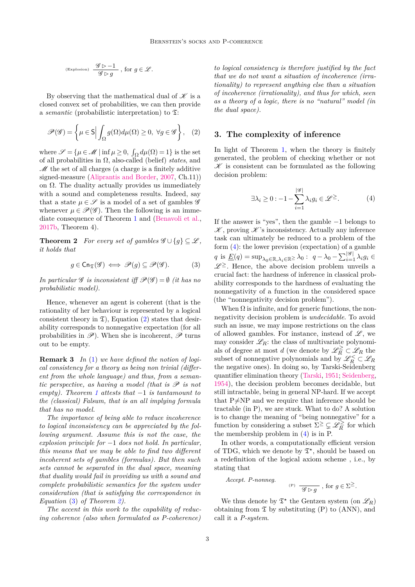$$
^{(\text{Explosion})}\ \frac{\mathscr{G} \rhd -1}{\mathscr{G} \rhd g}\ ,\ \text{for}\ g\in \mathscr{L}.
$$

By observing that the mathematical dual of  $\mathscr K$  is a closed convex set of probabilities, we can then provide a *semantic* (probabilistic interpretation) to  $\mathfrak{T}$ :

<span id="page-2-0"></span>
$$
\mathscr{P}(\mathscr{G}) = \left\{ \mu \in \mathsf{S} \Big| \int_{\Omega} g(\Omega) d\mu(\Omega) \ge 0, \ \forall g \in \mathscr{G} \right\}, \quad (2)
$$

where  $\mathscr{S} = {\mu \in \mathscr{M} \mid \inf \mu \geq 0, \int_{\Omega} d\mu(\Omega) = 1}$  is the set of all probabilities in Ω, also-called (belief) *states*, and  $\mathscr M$  the set of all charges (a charge is a finitely additive signed-measure [\(Aliprantis and Border,](#page-7-7) [2007,](#page-7-7) Ch.11)) on  $\Omega$ . The duality actually provides us immediately with a sound and completeness results. Indeed, say that a state  $\mu \in \mathscr{S}$  is a model of a set of gambles  $\mathscr{G}$ whenever  $\mu \in \mathscr{P}(\mathscr{G})$ . Then the following is an immediate consequence of Theorem [1](#page-1-0) and [\(Benavoli et al.,](#page-7-8) [2017b,](#page-7-8) Theorem 4).

**Theorem 2** *For every set of gambles*  $\mathscr{G} \cup \{g\} \subseteq \mathscr{L}$ *, it holds that*

<span id="page-2-2"></span><span id="page-2-1"></span>
$$
g \in \operatorname{Cn}_{\mathfrak{T}}(\mathscr{G}) \iff \mathscr{P}(g) \subseteq \mathscr{P}(\mathscr{G}). \tag{3}
$$

*In particular*  $\mathscr G$  *is inconsistent iff*  $\mathscr P(\mathscr G) = \emptyset$  *(it has no probabilistic model).*

Hence, whenever an agent is coherent (that is the rationality of her behaviour is represented by a logical consistent theory in  $\mathfrak{T}$ ), Equation [\(2\)](#page-2-0) states that desirability corresponds to nonnegative expectation (for all probabilities in  $\mathscr{P}$ ). When she is incoherent,  $\mathscr{P}$  turns out to be empty.

<span id="page-2-4"></span>**Remark 3** *In* [\(1\)](#page-1-1) *we have defined the notion of logical consistency for a theory as being non trivial (different from the whole language) and thus, from a semantic perspective, as having a model (that is* P *is not empty). Theorem [1](#page-1-0) attests that* −1 *is tantamount to the (classical) Falsum, that is an all implying formula that has no model.*

*The importance of being able to reduce incoherence to logical inconsistency can be appreciated by the following argument. Assume this is not the case, the explosion principle for* −1 *does not hold. In particular, this means that we may be able to find two different incoherent sets of gambles (formulas). But then such sets cannot be separated in the dual space, meaning that duality would fail in providing us with a sound and complete probabilistic semantics for the system under consideration (that is satisfying the correspondence in Equation* [\(3\)](#page-2-1) *of Theorem [2\)](#page-2-2).*

*The accent in this work to the capability of reducing coherence (also when formulated as P-coherence)*

*to logical consistency is therefore justified by the fact that we do not want a situation of incoherence (irrationality) to represent anything else than a situation of incoherence (irrationality), and thus for which, seen as a theory of a logic, there is no "natural" model (in the dual space).*

### **3. The complexity of inference**

In light of Theorem [1,](#page-1-0) when the theory is finitely generated, the problem of checking whether or not  $\mathscr K$  is consistent can be formulated as the following decision problem:

<span id="page-2-3"></span>
$$
\exists \lambda_i \ge 0 : -1 - \sum_{i=1}^{|\mathcal{G}|} \lambda_i g_i \in \mathcal{L}^{\ge}.
$$
 (4)

If the answer is "yes", then the gamble −1 belongs to  $\mathscr K$ , proving  $\mathscr K$ 's inconsistency. Actually any inference task can ultimately be reduced to a problem of the form [\(4\)](#page-2-3): the lower prevision (expectation) of a gamble  $q$  is  $\underline{E}(q) = \sup_{\lambda_0 \in \mathbb{R}, \lambda_i \in \mathbb{R}^{\geq \lambda_0}}$  :  $q - \lambda_0 - \sum_{i=1}^{|\mathscr{G}|} \lambda_i g_i \in$  $\mathscr{L}^{\geq}$ . Hence, the above decision problem unveils a crucial fact: the hardness of inference in classical probability corresponds to the hardness of evaluating the nonnegativity of a function in the considered space (the "nonnegativity decision problem").

When  $\Omega$  is infinite, and for generic functions, the nonnegativity decision problem is *undecidable*. To avoid such an issue, we may impose restrictions on the class of allowed gambles. For instance, instead of  $\mathscr{L}$ , we may consider  $\mathscr{L}_R$ : the class of multivariate polynomials of degree at most *d* (we denote by  $\mathscr{L}_{R}^{\geq} \subset \mathscr{L}_{R}$  the subset of nonnegative polynomials and by  $\mathscr{L}_R^{\lt} \subset \mathscr{L}_R$ the negative ones). In doing so, by Tarski-Seidenberg quantifier elimination theory [\(Tarski,](#page-8-4) [1951;](#page-8-4) [Seidenberg,](#page-8-5) [1954\)](#page-8-5), the decision problem becomes decidable, but still intractable, being in general NP-hard. If we accept that  $P\neq NP$  and we require that inference should be tractable (in P), we are stuck. What to do? A solution is to change the meaning of "being nonnegative" for a function by considering a subset  $\Sigma^{\geq} \subsetneq \mathscr{L}_{R}^{\geq}$  $\frac{\partial \leq}{\partial R}$  for which the membership problem in [\(4\)](#page-2-3) is in P.

In other words, a computationally efficient version of TDG, which we denote by  $\mathfrak{T}^*$ , should be based on a redefinition of the logical axiom scheme , i.e., by stating that

Accept. P-nonneg.  
(P) 
$$
\overline{\mathscr{G} \rhd g}
$$
, for  $g \in \Sigma^{\ge}$ .

We thus denote by  $\mathfrak{T}^{\star}$  the Gentzen system (on  $\mathscr{L}_R$ ) obtaining from  $\mathfrak T$  by substituting (P) to (ANN), and call it a *P-system*.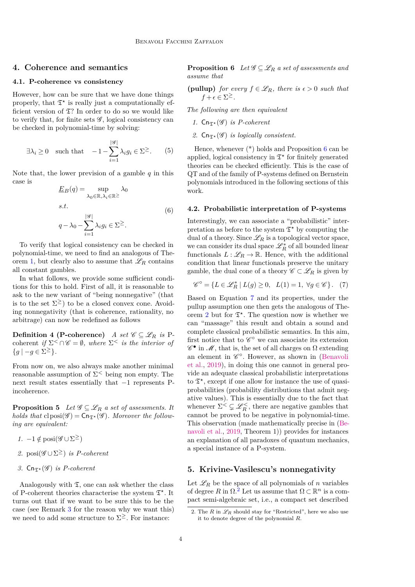## <span id="page-3-4"></span>**4. Coherence and semantics**

#### **4.1. P-coherence vs consistency**

However, how can be sure that we have done things properly, that  $\mathfrak{T}^{\star}$  is really just a computationally efficient version of  $\mathfrak{T}$ ? In order to do so we would like to verify that, for finite sets  $\mathscr{G}$ , logical consistency can be checked in polynomial-time by solving:

<span id="page-3-2"></span>
$$
\exists \lambda_i \ge 0 \quad \text{such that} \quad -1 - \sum_{i=1}^{|\mathcal{G}|} \lambda_i g_i \in \Sigma^{\ge}.
$$
 (5)

Note that, the lower prevision of a gamble *q* in this case is

$$
\underline{E}_B(q) = \sup_{\lambda_0 \in \mathbb{R}, \lambda_i \in \mathbb{R}^{\geq}} \lambda_0
$$
  
s.t.  

$$
q - \lambda_0 - \sum_{i=1}^{|\mathscr{G}|} \lambda_i g_i \in \Sigma^{\geq}.
$$
 (6)

To verify that logical consistency can be checked in polynomial-time, we need to find an analogous of The-orem [1,](#page-1-0) but clearly also to assume that  $\mathscr{L}_R$  contains all constant gambles.

In what follows, we provide some sufficient conditions for this to hold. First of all, it is reasonable to ask to the new variant of "being nonnegative" (that is to the set  $\Sigma^{\geq}$ ) to be a closed convex cone. Avoiding nonnegativity (that is coherence, rationality, no arbitrage) can now be redefined as follows

**Definition 4 (P-coherence)** *A set*  $\mathscr{C} \subseteq \mathscr{L}_R$  *is* Pcoherent *if*  $\Sigma^< \cap \mathscr{C} = \emptyset$ *, where*  $\Sigma^<$  *is the interior of*  ${g \mid -g \in \Sigma^{\geq}}.$ 

From now on, we also always make another minimal reasonable assumption of  $\Sigma^{\lt}$  being non empty. The next result states essentially that −1 represents Pincoherence.

<span id="page-3-3"></span>**Proposition 5** *Let*  $\mathscr{G} \subseteq \mathscr{L}_R$  *a set of assessments. It holds that*  $clposi(\mathscr{G}) = \text{Cn}_{\mathfrak{T}^*}(\mathscr{G})$ *. Moreover the following are equivalent:*

- *1.*  $-1 \notin \text{posi}(\mathscr{G} \cup \Sigma^{\geq})$
- *2.* posi(G ∪Σ <sup>≥</sup>) *is P-coherent*
- *3.*  $Cn_{\mathfrak{T}^{\star}}(\mathscr{G})$  *is P-coherent*

<span id="page-3-0"></span>Analogously with  $\mathfrak{T}$ , one can ask whether the class of P-coherent theories characterise the system  $\mathfrak{T}^{\star}$ . It turns out that if we want to be sure this to be the case (see Remark [3](#page-2-4) for the reason why we want this) we need to add some structure to  $\Sigma^{\geq}$ . For instance:

**Proposition 6** *Let*  $\mathscr{G} \subseteq \mathscr{L}_R$  *a set of assessments and assume that*

**(pullup)** *for every*  $f \in \mathcal{L}_R$ *, there is*  $\epsilon > 0$  *such that*  $f + \epsilon \in \Sigma^{\geq}$ .

*The following are then equivalent*

- *1.*  $\textsf{Cn}_{\mathcal{F}^{\star}}(\mathscr{G})$  *is P-coherent*
- 2.  $\textsf{Cn}_{\mathcal{F}^{\star}}(\mathcal{G})$  *is logically consistent.*

Hence, whenever  $(*)$  holds and Proposition [6](#page-3-0) can be applied, logical consistency in  $\mathfrak{T}^*$  for finitely generated theories can be checked efficiently. This is the case of QT and of the family of P-systems defined on Bernstein polynomials introduced in the following sections of this work.

#### **4.2. Probabilistic interpretation of P-systems**

Interestingly, we can associate a "probabilistic" interpretation as before to the system  $\mathfrak{T}^*$  by computing the dual of a theory. Since  $\mathscr{L}_R$  is a topological vector space, we can consider its dual space  $\mathscr{L}_R^*$  of all bounded linear functionals  $L : \mathscr{L}_R \to \mathbb{R}$ . Hence, with the additional condition that linear functionals preserve the unitary gamble, the dual cone of a theory  $\mathscr{C} \subset \mathscr{L}_R$  is given by

<span id="page-3-1"></span>
$$
\mathscr{C}^{\circ} = \{ L \in \mathscr{L}^*_R \mid L(g) \ge 0, \ \ L(1) = 1, \ \forall g \in \mathscr{C} \}. \tag{7}
$$

Based on Equation [7](#page-3-1) and its properties, under the pullup assumption one then gets the analogous of The-orem [2](#page-2-2) but for  $\mathfrak{T}^*$ . The question now is whether we can "massage" this result and obtain a sound and complete classical probabilistic semantics. In this aim, first notice that to  $\mathscr C^\circ$  we can associate its extension  $\mathscr{C}^\bullet$  in  $\mathscr{M},$  that is, the set of all charges on  $\Omega$  extending an element in  $\mathscr{C}^{\circ}$ . However, as shown in [\(Benavoli](#page-7-0) [et al.,](#page-7-0) [2019\)](#page-7-0), in doing this one cannot in general provide an adequate classical probabilistic interpretations to  $\mathfrak{T}^{\star}$ , except if one allow for instance the use of quasiprobabilities (probability distributions that admit negative values). This is essentially due to the fact that whenever  $\Sigma^{\leq} \subsetneq \mathscr{L}_R^{\leq}$ , there are negative gambles that cannot be proved to be negative in polynomial-time. This observation (made mathematically precise in [\(Be](#page-7-0)[navoli et al.,](#page-7-0) [2019,](#page-7-0) Theorem 1)) provides for instances an explanation of all paradoxes of quantum mechanics, a special instance of a P-system.

### **5. Krivine-Vasilescu's nonnegativity**

Let  $\mathscr{L}_R$  be the space of all polynomials of  $n$  variables of degree R in  $\Omega$ .<sup>[2](#page-0-0)</sup> Let us assume that  $\Omega \subset \mathbb{R}^n$  is a compact semi-algebraic set, i.e., a compact set described

<sup>2.</sup> The  $R$  in  $\mathscr{L}_R$  should stay for "Restricted", here we also use it to denote degree of the polynomial *R*.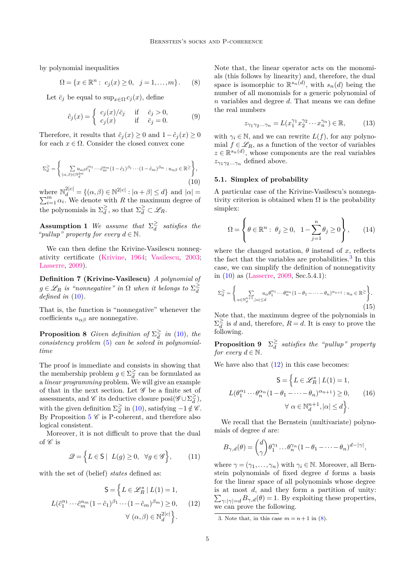by polynomial inequalities

<span id="page-4-2"></span>
$$
\Omega = \{ x \in \mathbb{R}^n : c_j(x) \ge 0, \ j = 1, ..., m \}.
$$
 (8)

Let  $\bar{c}_j$  be equal to sup<sub>*x*∈Ω</sub>  $c_j(x)$ , define

$$
\hat{c}_j(x) = \begin{cases}\nc_j(x)/\bar{c}_j & \text{if } \bar{c}_j > 0, \\
c_j(x) & \text{if } \bar{c}_j = 0.\n\end{cases}
$$
\n(9)

Therefore, it results that  $\hat{c}_j(x) \geq 0$  and  $1-\hat{c}_j(x) \geq 0$ for each  $x \in \Omega$ . Consider the closed convex cone

<span id="page-4-0"></span>
$$
\Sigma_d^{\geq} = \left\{ \sum_{(\alpha,\beta)\in\mathbb{N}_d^{2m}} u_{\alpha\beta} \hat{c}_1^{\alpha_1} \cdots \hat{c}_m^{\alpha_m} (1-\hat{c}_1)^{\beta_1} \cdots (1-\hat{c}_m)^{\beta_m} : u_{\alpha\beta} \in \mathbb{R}^{\geq} \right\},\tag{10}
$$

where  $N_d^{2|c|} = \{(\alpha, \beta) \in \mathbb{N}^{2|c|} : |\alpha + \beta| \le d\}$  and  $|\alpha| = \sum_{i=1}^m \alpha_i$ . We denote with *R* the maximum degree of the polynomials in  $\Sigma_d^{\geq}$  $\frac{\geq}{d}$ , so that  $\Sigma_d^{\geq} \subset \mathscr{L}_R$ .

**Assumption 1** *We assume that*  $\Sigma_d^{\geq}$ *d satisfies the "pullup" property for every*  $d \in \mathbb{N}$ .

We can then define the Krivine-Vasilescu nonnegativity certificate [\(Krivine,](#page-8-6) [1964;](#page-8-6) [Vasilescu,](#page-8-7) [2003;](#page-8-7) [Lasserre,](#page-8-8) [2009\)](#page-8-8).

**Definition 7 (Krivine-Vasilescu)** *A polynomial of*  $g \in \mathscr{L}_R$  *is "nonnegative" in*  $\Omega$  *when it belongs to*  $\Sigma_d^{\geq}$ *d defined in* [\(10\)](#page-4-0)*.*

That is, the function is "nonnegative" whenever the coefficients  $u_{\alpha\beta}$  are nonnegative.

**Proposition 8** *Given definition of*  $\Sigma_d^{\geq}$  $\frac{2}{d}$  *in* [\(10\)](#page-4-0)*, the consistency problem* [\(5\)](#page-3-2) *can be solved in polynomialtime*

The proof is immediate and consists in showing that the membership problem  $g \in \Sigma_d^{\geq}$  $\frac{2}{d}$  can be formulated as a *linear programming* problem. We will give an example of that in the next section. Let  $\mathscr G$  be a finite set of assessments, and  $\mathscr{C}$  its deductive closure  $\text{posi}(\mathscr{G} \cup \Sigma_d^{\geq})$  $\widetilde{\overline{d}}$ ), with the given definition  $\Sigma_d^{\geq}$  $\frac{2}{d}$  in [\(10\)](#page-4-0), satisfying  $-1 \notin \mathscr{C}$ . By Proposition [5](#page-3-3)  $\mathscr C$  is P-coherent, and therefore also logical consistent.

Moreover, it is not difficult to prove that the dual of  $\mathscr C$  is

$$
\mathcal{Q} = \left\{ L \in \mathsf{S} \mid L(g) \ge 0, \ \forall g \in \mathcal{G} \right\},\qquad(11)
$$

with the set of (belief) *states* defined as:

<span id="page-4-1"></span>
$$
\mathsf{S} = \left\{ L \in \mathscr{L}^*_{R} \mid L(1) = 1, \right.
$$

$$
L(\hat{c}_1^{\alpha_1} \cdots \hat{c}_m^{\alpha_m} (1 - \hat{c}_1)^{\beta_1} \cdots (1 - \hat{c}_m)^{\beta_m}) \ge 0, \quad (12)
$$

$$
\forall (\alpha, \beta) \in \mathbb{N}_d^{2|c|} \right\}.
$$

Note that, the linear operator acts on the monomials (this follows by linearity) and, therefore, the dual space is isomorphic to  $\mathbb{R}^{s_n(d)}$ , with  $s_n(d)$  being the number of all monomials for a generic polynomial of *n* variables and degree *d*. That means we can define the real numbers

$$
z_{\gamma_1 \gamma_2 \dots \gamma_n} = L(x_1^{\gamma_1} x_2^{\gamma_2} \cdots x_n^{\gamma_n}) \in \mathbb{R},\tag{13}
$$

with  $\gamma_i \in \mathbb{N}$ , and we can rewrite  $L(f)$ , for any polynomial  $f \in \mathcal{L}_R$ , as a function of the vector of variables  $z \in \mathbb{R}^{s_n(d)}$ , whose components are the real variables  $z_{\gamma_1\gamma_2...\gamma_n}$  defined above.

### **5.1. Simplex of probability**

A particular case of the Krivine-Vasilescu's nonnegativity criterion is obtained when  $\Omega$  is the probability simplex:

$$
\Omega = \left\{ \theta \in \mathbb{R}^n : \ \theta_j \ge 0, \ 1 - \sum_{j=1}^n \theta_j \ge 0 \right\},\qquad(14)
$$

where the changed notation,  $\theta$  instead of *x*, reflects the fact that the variables are probabilities.<sup>[3](#page-0-0)</sup> In this case, we can simplify the definition of nonnegativity in [\(10\)](#page-4-0) as [\(Lasserre,](#page-8-8) [2009,](#page-8-8) Sec.5.4.1):

<span id="page-4-3"></span>
$$
\Sigma_d^{\geq} = \left\{ \sum_{\alpha \in \mathbb{N}_d^{n+1}, |\alpha| \leq d} u_{\alpha} \theta_1^{\alpha_1} \cdots \theta_n^{\alpha_n} (1 - \theta_1 - \cdots - \theta_n)^{\alpha_{n+1}} : u_{\alpha} \in \mathbb{R}^{\geq} \right\}.
$$
\n(15)

<span id="page-4-5"></span>Note that, the maximum degree of the polynomials in  $\Sigma_d^{\geq}$  $\frac{2}{d}$  is *d* and, therefore,  $R = d$ . It is easy to prove the following.

**Proposition 9**  $\Sigma_d^{\geq}$  $\frac{d^2}{dt}$  satisfies the "pullup" property *for every*  $d \in \mathbb{N}$ .

We have also that  $(12)$  in this case becomes:

<span id="page-4-4"></span>
$$
\mathsf{S} = \left\{ L \in \mathscr{L}_R^* \mid L(1) = 1, \right.
$$

$$
L(\theta_1^{\alpha_1} \cdots \theta_n^{\alpha_n} (1 - \theta_1 - \cdots - \theta_n)^{\alpha_{n+1}}) \ge 0, \qquad (16)
$$

$$
\forall \alpha \in \mathbb{N}_d^{n+1}, |\alpha| \le d \right\}.
$$

We recall that the Bernstein (multivariate) polynomials of degree *d* are:

$$
B_{\gamma,d}(\theta) = \binom{d}{\gamma} \theta_1^{\gamma_1} \dots \theta_n^{\gamma_n} (1 - \theta_1 - \dots - \theta_n)^{d - |\gamma|},
$$

where  $\gamma = (\gamma_1, \dots, \gamma_n)$  with  $\gamma_i \in \mathbb{N}$ . Moreover, all Bernstein polynomials of fixed degree *d* forms a basis for the linear space of all polynomials whose degree is at most *d*, and they form a partition of unity:  $\sum_{\gamma:|\gamma|=d} B_{\gamma,d}(\theta) = 1$ . By exploiting these properties, we can prove the following.

<span id="page-4-6"></span><sup>3.</sup> Note that, in this case  $m = n + 1$  in [\(8\)](#page-4-2).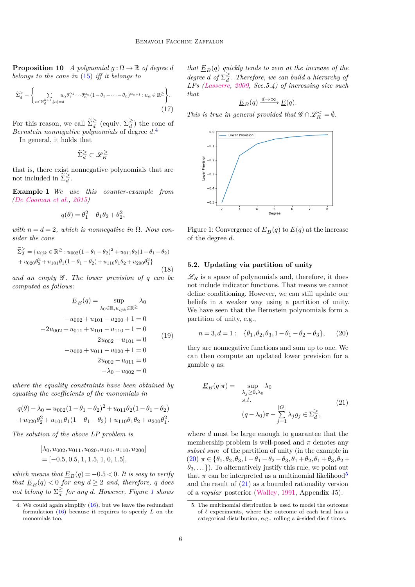**Proposition 10** *A polynomial*  $q : \Omega \to \mathbb{R}$  *of degree d belongs to the cone in* [\(15\)](#page-4-3) *iff it belongs to*

<span id="page-5-3"></span>
$$
\widetilde{\Sigma}_d^{\geq} = \left\{ \sum_{\alpha \in \mathbb{N}_d^{n+1}, |\alpha| = d} u_{\alpha} \theta_1^{\alpha_1} \cdots \theta_n^{\alpha_n} (1 - \theta_1 - \cdots - \theta_n)^{\alpha_{n+1}} : u_{\alpha} \in \mathbb{R}^{\geq} \right\}.
$$
\n(17)

For this reason, we call  $\tilde{\Sigma}_d^{\geq}$  (equiv.  $\Sigma_d^{\geq}$ )  $\frac{2}{d}$  the cone of *Bernstein nonnegative polynomials* of degree *d*. [4](#page-0-0)

In general, it holds that

$$
\widetilde{\Sigma}_{d}^{\geq} \subset \mathscr{L}_{R}^{\geq}
$$

that is, there exist nonnegative polynomials that are not included in  $\widetilde{\Sigma}_{d}^{\geq}$ .

**Example 1** *We use this counter-example from [\(De Cooman et al.,](#page-7-5) [2015\)](#page-7-5)*

$$
q(\theta)=\theta_1^2-\theta_1\theta_2+\theta_2^2,
$$

*with*  $n = d = 2$ *, which is nonnegative in*  $\Omega$ *. Now consider the cone*

$$
\widetilde{\Sigma}_2^{\geq} = \{u_{ijk} \in \mathbb{R}^{\geq} : u_{002}(1 - \theta_1 - \theta_2)^2 + u_{011}\theta_2(1 - \theta_1 - \theta_2) + u_{020}\theta_2^2 + u_{101}\theta_1(1 - \theta_1 - \theta_2) + u_{110}\theta_1\theta_2 + u_{200}\theta_1^2\}
$$
\n(18)

*and an empty* G *. The lower prevision of q can be computed as follows:*

$$
\underline{E}_B(q) = \sup_{\lambda_0 \in \mathbb{R}, u_{ijk} \in \mathbb{R}^{\geq}} \lambda_0
$$
  
\n
$$
-u_{002} + u_{101} - u_{200} + 1 = 0
$$
  
\n
$$
-2u_{002} + u_{011} + u_{101} - u_{110} - 1 = 0
$$
  
\n
$$
2u_{002} - u_{101} = 0
$$
  
\n
$$
-u_{002} + u_{011} - u_{020} + 1 = 0
$$
  
\n
$$
2u_{002} - u_{011} = 0
$$
  
\n
$$
-\lambda_0 - u_{002} = 0
$$
  
\n(19)

*where the equality constraints have been obtained by equating the coefficients of the monomials in*

$$
q(\theta) - \lambda_0 = u_{002}(1 - \theta_1 - \theta_2)^2 + u_{011}\theta_2(1 - \theta_1 - \theta_2)
$$
  
+ 
$$
u_{020}\theta_2^2 + u_{101}\theta_1(1 - \theta_1 - \theta_2) + u_{110}\theta_1\theta_2 + u_{200}\theta_1^2.
$$

*The solution of the above LP problem is*

$$
[\lambda_0, u_{002}, u_{011}, u_{020}, u_{101}, u_{110}, u_{200}]
$$
  
= [-0.5, 0.5, 1, 1.5, 1, 0, 1.5],

*which means that*  $\underline{E}_B(q) = -0.5 < 0$ *. It is easy to verify that*  $\underline{E}_B(q) < 0$  *for any*  $d \geq 2$  *and, therefore, q does not belong to*  $\Sigma_d^{\geq}$ *d for any d. However, Figure [1](#page-5-0) shows*

*that*  $E_B(q)$  *quickly tends to zero at the increase of the degree d of*  $\Sigma_d^{\geq}$  $\frac{2}{d}$ . Therefore, we can build a hierarchy of *LPs [\(Lasserre,](#page-8-8) [2009,](#page-8-8) Sec.5.4) of increasing size such that*

$$
\underline{E}_B(q) \xrightarrow{d \to \infty} \underline{E}(q).
$$

*This is true in general provided that*  $\mathscr{G} \cap \mathscr{L}_R^{\leq} = \emptyset$ *.* 

<span id="page-5-0"></span>

Figure 1: Convergence of  $\underline{E}_B(q)$  to  $\underline{E}(q)$  at the increase of the degree *d*.

#### **5.2. Updating via partition of unity**

 $\mathscr{L}_R$  is a space of polynomials and, therefore, it does not include indicator functions. That means we cannot define conditioning. However, we can still update our beliefs in a weaker way using a partition of unity. We have seen that the Bernstein polynomials form a partition of unity, e.g.,

<span id="page-5-1"></span>
$$
n = 3, d = 1: \quad \{\theta_1, \theta_2, \theta_3, 1 - \theta_1 - \theta_2 - \theta_3\}, \qquad (20)
$$

they are nonnegative functions and sum up to one. We can then compute an updated lower prevision for a gamble *q* as:

<span id="page-5-2"></span>
$$
\underline{E}_B(q|\pi) = \sup_{\substack{\lambda_j \ge 0, \lambda_0 \\ s.t.}} \lambda_0
$$
  
(q - \lambda\_0)\pi - \sum\_{j=1}^{|G|} \lambda\_j g\_j \in \Sigma\_d^{\geq}, (21)

where *d* must be large enough to guarantee that the membership problem is well-posed and  $\pi$  denotes any *subset sum* of the partition of unity (in the example in [\(20\)](#page-5-1) *π* ∈ {*θ*1*,θ*2*,θ*3*,*1−*θ*<sup>1</sup> −*θ*<sup>2</sup> −*θ*3*,θ*<sup>1</sup> +*θ*2*,θ*<sup>1</sup> +*θ*3*,θ*<sup>2</sup> + *θ*3*,...*}). To alternatively justify this rule, we point out that  $\pi$  can be interpreted as a multinomial likelihood<sup>[5](#page-0-0)</sup> and the result of [\(21\)](#page-5-2) as a bounded rationality version of a *regular* posterior [\(Walley,](#page-8-1) [1991,](#page-8-1) Appendix J5).

<sup>4.</sup> We could again simplify [\(16\)](#page-4-4), but we leave the redundant formulation [\(16\)](#page-4-4) because it requires to specify *L* on the monomials too.

<sup>5.</sup> The multinomial distribution is used to model the outcome of  $\ell$  experiments, where the outcome of each trial has a categorical distribution, e.g., rolling a  $k$ -sided die  $\ell$  times.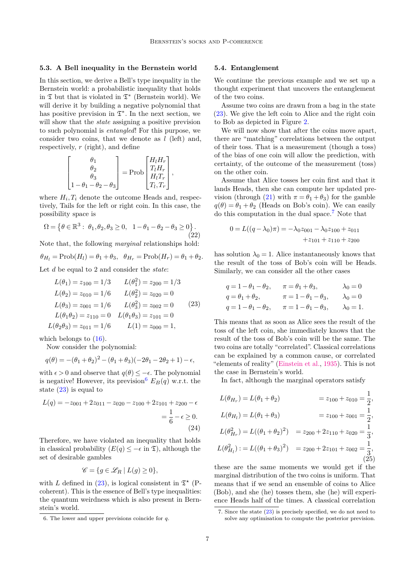#### **5.3. A Bell inequality in the Bernstein world**

In this section, we derive a Bell's type inequality in the Bernstein world: a probabilistic inequality that holds in  $\mathfrak T$  but that is violated in  $\mathfrak T^*$  (Bernstein world). We will derive it by building a negative polynomial that has positive prevision in  $\mathfrak{T}^*$ . In the next section, we will show that the *state* assigning a positive prevision to such polynomial is *entangled*! For this purpose, we consider two coins, that we denote as *l* (left) and, respectively, *r* (right), and define

$$
\begin{bmatrix} \theta_1 \\ \theta_2 \\ \theta_3 \\ 1 - \theta_1 - \theta_2 - \theta_3 \end{bmatrix} = \text{Prob} \begin{bmatrix} H_l H_r \\ T_l H_r \\ H_l T_r \\ T_l, T_r \end{bmatrix},
$$

where  $H_i, T_i$  denote the outcome Heads and, respectively, Tails for the left or right coin. In this case, the possibility space is

$$
\Omega = \left\{ \theta \in \mathbb{R}^3 : \ \theta_1, \theta_2, \theta_3 \ge 0, \ 1 - \theta_1 - \theta_2 - \theta_3 \ge 0 \right\}.
$$
\n(22)

Note that, the following *marginal* relationships hold:

$$
\theta_{H_l} = \text{Prob}(H_l) = \theta_1 + \theta_3, \ \ \theta_{H_r} = \text{Prob}(H_r) = \theta_1 + \theta_2.
$$

Let *d* be equal to 2 and consider the *state*:

<span id="page-6-0"></span>
$$
L(\theta_1) = z_{100} = 1/3 \qquad L(\theta_1^2) = z_{200} = 1/3
$$
  
\n
$$
L(\theta_2) = z_{010} = 1/6 \qquad L(\theta_2^2) = z_{020} = 0
$$
  
\n
$$
L(\theta_3) = z_{001} = 1/6 \qquad L(\theta_3^2) = z_{002} = 0 \qquad (23)
$$
  
\n
$$
L(\theta_1 \theta_2) = z_{110} = 0 \qquad L(\theta_1 \theta_3) = z_{101} = 0
$$
  
\n
$$
L(\theta_2 \theta_3) = z_{011} = 1/6 \qquad L(1) = z_{000} = 1,
$$

which belongs to  $(16)$ .

Now consider the polynomial:

$$
q(\theta) = -(\theta_1 + \theta_2)^2 - (\theta_1 + \theta_3)(-2\theta_1 - 2\theta_2 + 1) - \epsilon,
$$

with  $\epsilon > 0$  and observe that  $q(\theta) \leq -\epsilon$ . The polynomial is negative! However, its prevision  $E_B(q)$  w.r.t. the state  $(23)$  is equal to

$$
L(q) = -z_{001} + 2z_{011} - z_{020} - z_{100} + 2z_{101} + z_{200} - \epsilon
$$
  
=  $\frac{1}{6} - \epsilon \ge 0$ . (24)

Therefore, we have violated an inequality that holds in classical probability  $(E(q) \leq -\epsilon \text{ in } \mathfrak{T})$ , although the set of desirable gambles

$$
\mathscr{C} = \{ g \in \mathscr{L}_R \mid L(g) \ge 0 \},\
$$

with *L* defined in [\(23\)](#page-6-0), is logical consistent in  $\mathfrak{T}^{\star}$  (Pcoherent). This is the essence of Bell's type inequalities: the quantum weirdness which is also present in Bernstein's world.

#### **5.4. Entanglement**

We continue the previous example and we set up a thought experiment that uncovers the entanglement of the two coins.

Assume two coins are drawn from a bag in the state [\(23\)](#page-6-0). We give the left coin to Alice and the right coin to Bob as depicted in Figure [2.](#page-7-9)

We will now show that after the coins move apart, there are "matching" correlations between the output of their toss. That is a measurement (though a toss) of the bias of one coin will allow the prediction, with certainty, of the outcome of the measurement (toss) on the other coin.

Assume that Alice tosses her coin first and that it lands Heads, then she can compute her updated pre-vision (through [\(21\)](#page-5-2) with  $\pi = \theta_1 + \theta_3$ ) for the gamble  $q(\theta) = \theta_1 + \theta_2$  (Heads on Bob's coin). We can easily do this computation in the dual space.[7](#page-0-0) Note that

$$
0 = L((q - \lambda_0)\pi) = -\lambda_0 z_{001} - \lambda_0 z_{100} + z_{011}
$$
  
+ z\_{101} + z\_{110} + z\_{200}

has solution  $\lambda_0 = 1$ . Alice instantaneously knows that the result of the toss of Bob's coin will be Heads. Similarly, we can consider all the other cases

$$
q = 1 - \theta_1 - \theta_2
$$
,  $\pi = \theta_1 + \theta_3$ ,  $\lambda_0 = 0$   
\n $q = \theta_1 + \theta_2$ ,  $\pi = 1 - \theta_1 - \theta_3$ ,  $\lambda_0 = 0$   
\n $q = 1 - \theta_1 - \theta_2$ ,  $\pi = 1 - \theta_1 - \theta_3$ ,  $\lambda_0 = 1$ .

This means that as soon as Alice sees the result of the toss of the left coin, she immediately knows that the result of the toss of Bob's coin will be the same. The two coins are totally "correlated". Classical correlations can be explained by a common cause, or correlated "elements of reality" [\(Einstein et al.,](#page-8-2) [1935\)](#page-8-2). This is not the case in Bernstein's world.

In fact, although the marginal operators satisfy

$$
L(\theta_{H_r}) = L(\theta_1 + \theta_2) = z_{100} + z_{010} = \frac{1}{2},
$$
  
\n
$$
L(\theta_{H_l}) = L(\theta_1 + \theta_3) = z_{100} + z_{001} = \frac{1}{2},
$$
  
\n
$$
L(\theta_{H_r}^2) = L((\theta_1 + \theta_2)^2) = z_{200} + 2z_{110} + z_{020} = \frac{1}{3},
$$
  
\n
$$
L(\theta_{H_l}^2) := L((\theta_1 + \theta_3)^2) = z_{200} + 2z_{101} + z_{002} = \frac{1}{3},
$$
  
\n(25)

these are the same moments we would get if the marginal distribution of the two coins is uniform. That means that if we send an ensemble of coins to Alice (Bob), and she (he) tosses them, she (he) will experience Heads half of the times. A classical correlation

<sup>6.</sup> The lower and upper previsions coincide for *q*.

<sup>7.</sup> Since the state [\(23\)](#page-6-0) is precisely specified, we do not need to solve any optimisation to compute the posterior prevision.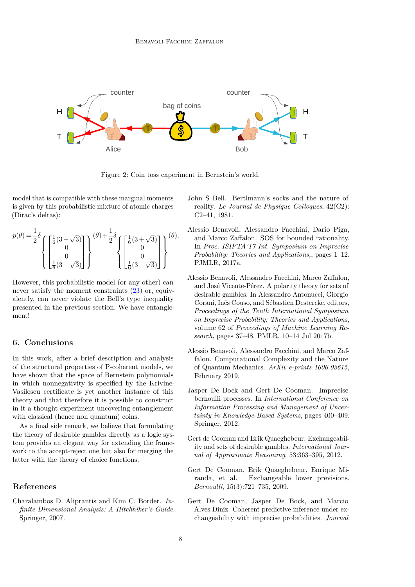<span id="page-7-9"></span>

Figure 2: Coin toss experiment in Bernstein's world.

model that is compatible with these marginal moments is given by this probabilistic mixture of atomic charges (Dirac's deltas):

$$
p(\theta) = \frac{1}{2}\delta \left\{ \begin{bmatrix} \frac{1}{6}(3-\sqrt{3}) \\ 0 \\ 0 \\ \frac{1}{6}(3+\sqrt{3}) \end{bmatrix} \right\}^{(\theta) + \frac{1}{2}\delta} \left\{ \begin{bmatrix} \frac{1}{6}(3+\sqrt{3}) \\ 0 \\ 0 \\ \frac{1}{6}(3-\sqrt{3}) \end{bmatrix} \right\}^{(\theta).
$$

However, this probabilistic model (or any other) can never satisfy the moment constraints [\(23\)](#page-6-0) or, equivalently, can never violate the Bell's type inequality presented in the previous section. We have entanglement!

## **6. Conclusions**

In this work, after a brief description and analysis of the structural properties of P-coherent models, we have shown that the space of Bernstein polynomials in which nonnegativity is specified by the Krivine-Vasilescu certificate is yet another instance of this theory and that therefore it is possible to construct in it a thought experiment uncovering entanglement with classical (hence non quantum) coins.

As a final side remark, we believe that formulating the theory of desirable gambles directly as a logic system provides an elegant way for extending the framework to the accept-reject one but also for merging the latter with the theory of choice functions.

### **References**

<span id="page-7-7"></span>Charalambos D. Aliprantis and Kim C. Border. *Infinite Dimensional Analysis: A Hitchhiker's Guide*. Springer, 2007.

- <span id="page-7-6"></span>John S Bell. Bertlmann's socks and the nature of reality. *Le Journal de Physique Colloques*, 42(C2): C2–41, 1981.
- <span id="page-7-1"></span>Alessio Benavoli, Alessandro Facchini, Dario Piga, and Marco Zaffalon. SOS for bounded rationality. In *Proc. ISIPTA'17 Int. Symposium on Imprecise Probability: Theories and Applications,*, pages 1–12. PJMLR, 2017a.
- <span id="page-7-8"></span>Alessio Benavoli, Alessandro Facchini, Marco Zaffalon, and José Vicente-Pérez. A polarity theory for sets of desirable gambles. In Alessandro Antonucci, Giorgio Corani, Inés Couso, and Sébastien Destercke, editors, *Proceedings of the Tenth International Symposium on Imprecise Probability: Theories and Applications*, volume 62 of *Proceedings of Machine Learning Research*, pages 37–48. PMLR, 10–14 Jul 2017b.
- <span id="page-7-0"></span>Alessio Benavoli, Alessandro Facchini, and Marco Zaffalon. Computational Complexity and the Nature of Quantum Mechanics. *ArXiv e-prints 1606.03615*, February 2019.
- <span id="page-7-4"></span>Jasper De Bock and Gert De Cooman. Imprecise bernoulli processes. In *International Conference on Information Processing and Management of Uncertainty in Knowledge-Based Systems*, pages 400–409. Springer, 2012.
- <span id="page-7-3"></span>Gert de Cooman and Erik Quaeghebeur. Exchangeability and sets of desirable gambles. *International Journal of Approximate Reasoning*, 53:363–395, 2012.
- <span id="page-7-2"></span>Gert De Cooman, Erik Quaeghebeur, Enrique Miranda, et al. Exchangeable lower previsions. *Bernoulli*, 15(3):721–735, 2009.
- <span id="page-7-5"></span>Gert De Cooman, Jasper De Bock, and Marcio Alves Diniz. Coherent predictive inference under exchangeability with imprecise probabilities. *Journal*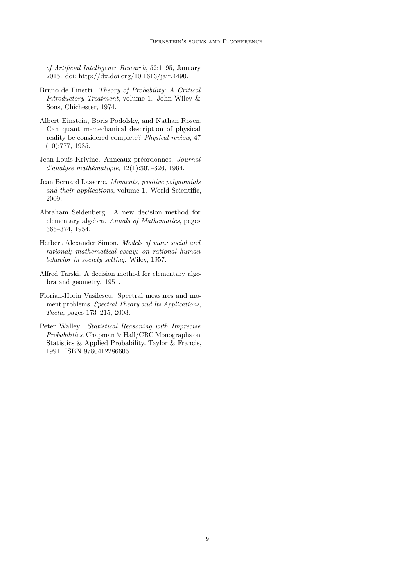*of Artificial Intelligence Research*, 52:1–95, January 2015. doi: http://dx.doi.org/10.1613/jair.4490.

- <span id="page-8-3"></span>Bruno de Finetti. *Theory of Probability: A Critical Introductory Treatment*, volume 1. John Wiley & Sons, Chichester, 1974.
- <span id="page-8-2"></span>Albert Einstein, Boris Podolsky, and Nathan Rosen. Can quantum-mechanical description of physical reality be considered complete? *Physical review*, 47 (10):777, 1935.
- <span id="page-8-6"></span>Jean-Louis Krivine. Anneaux préordonnés. *Journal d'analyse mathématique*, 12(1):307–326, 1964.
- <span id="page-8-8"></span>Jean Bernard Lasserre. *Moments, positive polynomials and their applications*, volume 1. World Scientific, 2009.
- <span id="page-8-5"></span>Abraham Seidenberg. A new decision method for elementary algebra. *Annals of Mathematics*, pages 365–374, 1954.
- <span id="page-8-0"></span>Herbert Alexander Simon. *Models of man: social and rational; mathematical essays on rational human behavior in society setting*. Wiley, 1957.
- <span id="page-8-4"></span>Alfred Tarski. A decision method for elementary algebra and geometry. 1951.
- <span id="page-8-7"></span>Florian-Horia Vasilescu. Spectral measures and moment problems. *Spectral Theory and Its Applications, Theta*, pages 173–215, 2003.
- <span id="page-8-1"></span>Peter Walley. *Statistical Reasoning with Imprecise Probabilities*. Chapman & Hall/CRC Monographs on Statistics & Applied Probability. Taylor & Francis, 1991. ISBN 9780412286605.